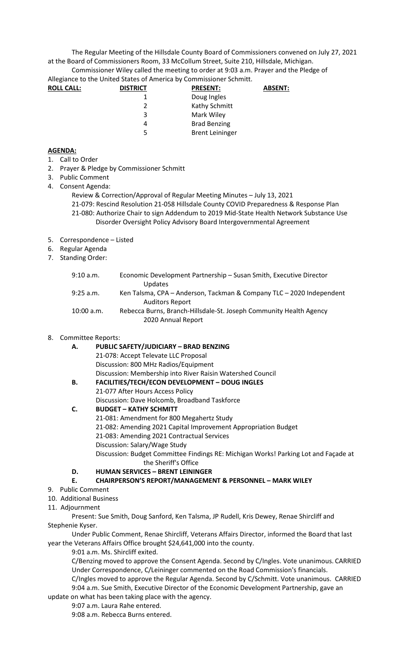The Regular Meeting of the Hillsdale County Board of Commissioners convened on July 27, 2021 at the Board of Commissioners Room, 33 McCollum Street, Suite 210, Hillsdale, Michigan.

Commissioner Wiley called the meeting to order at 9:03 a.m. Prayer and the Pledge of Allegiance to the United States of America by Commissioner Schmitt.

| <b>DISTRICT</b> | <b>PRESENT:</b>        | <b>ABSENT:</b> |
|-----------------|------------------------|----------------|
|                 | Doug Ingles            |                |
|                 | Kathy Schmitt          |                |
| 3               | Mark Wiley             |                |
| 4               | <b>Brad Benzing</b>    |                |
| 5.              | <b>Brent Leininger</b> |                |
|                 |                        |                |

## **AGENDA:**

- 1. Call to Order
- 2. Prayer & Pledge by Commissioner Schmitt
- 3. Public Comment
- 4. Consent Agenda:
	- Review & Correction/Approval of Regular Meeting Minutes July 13, 2021

21-079: Rescind Resolution 21-058 Hillsdale County COVID Preparedness & Response Plan 21-080: Authorize Chair to sign Addendum to 2019 Mid-State Health Network Substance Use Disorder Oversight Policy Advisory Board Intergovernmental Agreement

- 5. Correspondence Listed
- 6. Regular Agenda
- 7. Standing Order:

| 9:10 a.m.  | Economic Development Partnership - Susan Smith, Executive Director<br><b>Updates</b>           |
|------------|------------------------------------------------------------------------------------------------|
| 9:25 a.m.  | Ken Talsma, CPA - Anderson, Tackman & Company TLC - 2020 Independent<br><b>Auditors Report</b> |
| 10:00 a.m. | Rebecca Burns, Branch-Hillsdale-St. Joseph Community Health Agency<br>2020 Annual Report       |

## 8. Committee Reports:

| А. | <b>PUBLIC SAFETY/JUDICIARY - BRAD BENZING</b>                                       |
|----|-------------------------------------------------------------------------------------|
|    | 21-078: Accept Televate LLC Proposal                                                |
|    | Discussion: 800 MHz Radios/Equipment                                                |
|    | Discussion: Membership into River Raisin Watershed Council                          |
| В. | <b>FACILITIES/TECH/ECON DEVELOPMENT - DOUG INGLES</b>                               |
|    | 21-077 After Hours Access Policy                                                    |
|    | Discussion: Dave Holcomb, Broadband Taskforce                                       |
| C. | <b>BUDGET - KATHY SCHMITT</b>                                                       |
|    | 21-081: Amendment for 800 Megahertz Study                                           |
|    | 21-082: Amending 2021 Capital Improvement Appropriation Budget                      |
|    | 21-083: Amending 2021 Contractual Services                                          |
|    | Discussion: Salary/Wage Study                                                       |
|    | Discussion: Budget Committee Findings RE: Michigan Works! Parking Lot and Façade at |
|    | the Sheriff's Office                                                                |
| D. | <b>HUMAN SERVICES - BRENT LEININGER</b>                                             |
| Ε. | <b>CHAIRPERSON'S REPORT/MANAGEMENT &amp; PERSONNEL - MARK WILEY</b>                 |
|    |                                                                                     |

- 9. Public Comment
- 10. Additional Business
- 11. Adjournment

Present: Sue Smith, Doug Sanford, Ken Talsma, JP Rudell, Kris Dewey, Renae Shircliff and Stephenie Kyser.

Under Public Comment, Renae Shircliff, Veterans Affairs Director, informed the Board that last year the Veterans Affairs Office brought \$24,641,000 into the county.

9:01 a.m. Ms. Shircliff exited.

C/Benzing moved to approve the Consent Agenda. Second by C/Ingles. Vote unanimous. CARRIED Under Correspondence, C/Leininger commented on the Road Commission's financials.

C/Ingles moved to approve the Regular Agenda. Second by C/Schmitt. Vote unanimous. CARRIED 9:04 a.m. Sue Smith, Executive Director of the Economic Development Partnership, gave an

update on what has been taking place with the agency.

9:07 a.m. Laura Rahe entered.

9:08 a.m. Rebecca Burns entered.